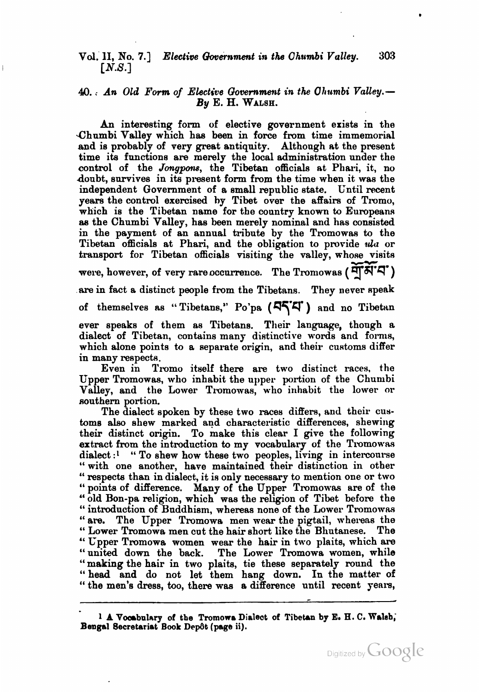## Vol. 11, No. **7.1** *Elective Qovernment in the Chumbi Valley.* **303**  *[N.S.]*

## **4.** ; *An Old Form of Elective* **Qovernment in** *the* **Olrtimbi** *Valley.- By E. H.* **WALSH.**

An interesting form of elective government exists in the .Chumbi Valley which has been in force from time immemorisl and is probably of very great antiquity. Although at the present time its functions are merely the local administration under the control of the *Jonypms,* the Tibetan officials st Phari, it, no doubt, survives in its present form from the time when it was the independent Government of a small republic state. Until recent years the control exercised by Tibet over the affairs of Tromo, which is the Tibetan name for the country known to Europeans **as** the Chumbi Valley, has been merely nominal and has consisted in the payment of an annual tribute by the Tromowas to the Tibetan officials at Phari, and the obligation to provide ula or transport for Tibetan officials visiting the valley, whose visits were, however, of very rare occurrence. The Tromowas ( $\vec{H}$ N'A') are in fact a distinct people from the Tibetans. They never speak of themselves as " Tibetans," Po'pa **(474.** ) and no Tibetan ever speaks of them as Tibetans. Their language, though a dialect of Tibetan, contains many distinctive words and forms, which alone points to a separate origin, **and** their customs differ in many respects.

Even in Tromo itself there are two distinct races, the Upper Tromowas, who inhabit the upper portion of the Chumbi Valley, and the Lower Tromowas, who inhabit the lower or southern portion.

The dialect spoken by these two races differs, and their customs also shew marked and characteristic differences, shewing their distinct origin. To make this clear I give the following extract from the introduction to my vocabulary of the Tromowas dialect :<sup>1</sup> " To shew how these two peoples, living in intercourse " with one another, have maintained their distinction in other " respects than in dialect, it is only necessary to mention one or two " points of difference. Many of the Upper Tromowas are of the " old Bon-pa religion, which was the religion of Tibet before the " introduction of Buddhism, whereas none of the Lower Tromowas " are. The Upper Tromowa men wear the pigtail, whereas the " Lower Tromowa men cut the hair short like the Bhutanese. The " Cpper Tromowa women wear the hair in two plaits, which **are**  "united down the **back.** The Lower Tromowa women, while "making the hair in two plaits, tie these separately round the "head and do not let them hang down. In the matter of " the men's dress, too, there was a difference until recent years,

**<sup>1</sup> A Vocabulary of the Tromowa Dialect of Tibetan by E. H. C. Walsh,** Bengal Secretariat Book Depôt (page ii).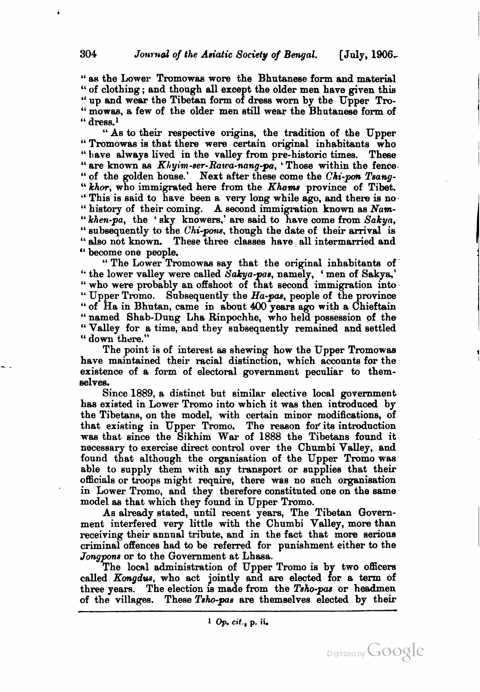" as the Lower Tromowas wore the Bhutanese form and material " of clothing ; and though all except the older men have given this " up and wear the Tibetan form of dress worn by the Upper Tro-" mowas, a few of the older men still wear the Bhutanese form of " dress.'

"As to their respective origins, the tradition of the Upper "Tromowas is that there were certain original inhabitants who " have always lived in the valley from pre-historic times. These " are known as  $Khyim\text{-}ser\text{-}Rara\text{-}nang\text{-}p\mathbf{a}$ , 'Those within the fence " of the golden house.' Next after these come the  $Chi\text{-}pon$  Tsang-" khor, who immigrated here from the *Khams* province of Tibet. "This is said to have been a very long while ago, and there is no-" history of their coming. A second immigration known as *Nam-*  "*khen-pa*, the 'sky knowers,' are said to have come from *Sakya*, "subsequently to the *Chi-pons*, though the date of their arrival is " also not known. These three classes have all intermarried and "become one people.

" become one people. " The Lower Tromowaa say that the original inhabitants of " the lower valley were called *Sakya- as,* namely, ' men of Sakya,' " who were probably an offshoot of that second immigration into " Upper Tromo. Subsequently the *Ha-pas*, people of the province " of Ha in Bhutan, came in about 400 years ago with a Chieftain " named Shab-Dung Lha Rinpochhe, who held possession of the " Valley for a time, and they subsequently remained and settled " down there."

The point is of interest aa shewing how the Upper Tromowas have maintained their racial distinction, which acconnts for the existence of a form of electoral government peculiar to themselves.

Since 1889, a distinct but similar elective local government has existed in Lower Tromo into which it was then introduced by the Tibetans, on the model, with certain minor modifications, of that existing in Upper Tromo. The reason for its introduction wag that since the Sikhim War of 1888 the Tibetans found it necessary to exercise direct control over the Chumbi Valley, and found that although the organisation of the Upper Tromo was able to supply them with any transport or supplies that their officials or troops might require, there was no such organisation in Lower Tromo, and they therefore constituted one on the same model as that which they found in Upper Tromo.

As already stated, until recent years, The Tibetan Government interfered very little with the Chumbi Valley, more than receiving their annual tribute, and in the fact that more serious criminal offences had to be referred for punishment either to the *Jongpons* or to the Government at Lhasa.

The local administration of Upper Tromo is by two officers called *Kongdus*, who act jointly and are elected for a term of three years. The election is made from the Tsho-pas or headmen of the villages. These *Tsho-pas* are themselves elected by their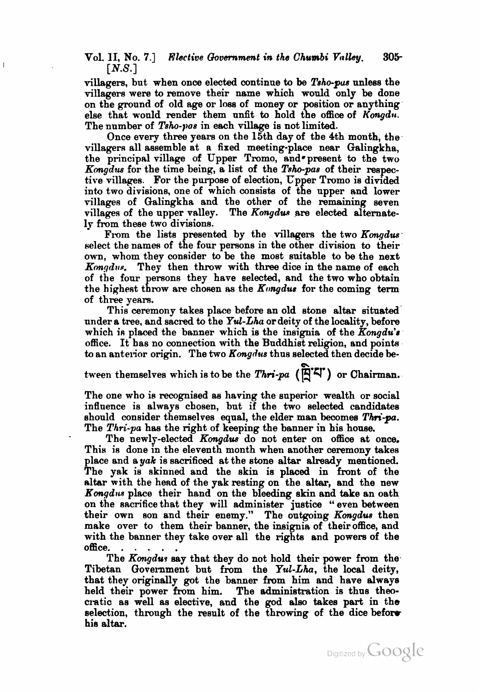Vol. **11,** No. **7.1** *Elective* **Qovsrnment** *in the Chumbi Vtrlley.* **305- [N.S.]** 

villagers, but when once elected continue to be *l'sho-pus* unless the villagers were to remove their name which would only be done on the ground of old age or loss of money or position or anything else that would render them unfit to hold the office of *Kongdu*. The number of *Tsho-pas* in each village is not limited.

Once every three years on the 15th day of the 4th month, the villagers all assemble at **a** fixed meeting-place near Galingkha, the principal village of Upper Tromo, and present to the two *Kmgdus* for the time being, a list of the *Tsh-pas* of their respective villages. For the purpose of election, Vpper Tromo is divided into two divisions, one of which consists of the upper and lower villages of Galingkha and the other of the remaining seven villages of the upper valley. The *Kongdus* are elected alternately from these two divisions.

From the lists presented by the villagers the two *Kongdus* select the names of the four persons in the other division to their own, whom they consider to be the most suitable to be the next Kongdus. They then throw with three dice in the name of each of the four persons they have selected, and the two who obtain the highest throw are chosen as the  $K$ ongdus for the coming term of three years.

This ceremony takes place before an old stone altar situated under a tree, and sacred to the *Yul-Lha* or deity of the locality, before which is placed the banner which is the insignia of the  $Kongdu's$ office. It has no connection with the Buddhist religion, and points to an anterior origin. The two *Kongdus* thus selected then decide be-

tween themselves which is to be the *Thri-pa* ( $\ddot{R}$ <sup>'2</sup>) or Chairman.

The one who is recognised as having the superior wealth or social influence is always chosen, but if the two selected candidates should consider themselves equal, the elder man becomes *Thri-pa.* The Thri-pa has the right of keeping the banner in his house.

The newly-elected *Kongdus* do not enter on office st once. This is done in the eleventh month when another ceremony takes place and a yak is sacrificed at the stone altar already mentioned. The yak is skinned and the skin is placed in front of the alter with the head of the yak resting on the altar, and the new *Kongdus* place their hand on the bleeding skin and take an oath on the sacrifice that they will administer justice " even between their own son and their enemy." The outgoing *Kongdue* then make over to them their banner, the insignia of their office, and with the banner they take over all the rights and powers of the

office. . . . . . The *Kongdu~* say that they do not hold their power from the-Tibetan Government but from the *Yul-Lha,* the local deity, that they originally got the banner from him and have always held their power from him. The administration is thus theocratic as well as elective, and the god also takes part in the selection, through the result of the throwing of the dice before his altar.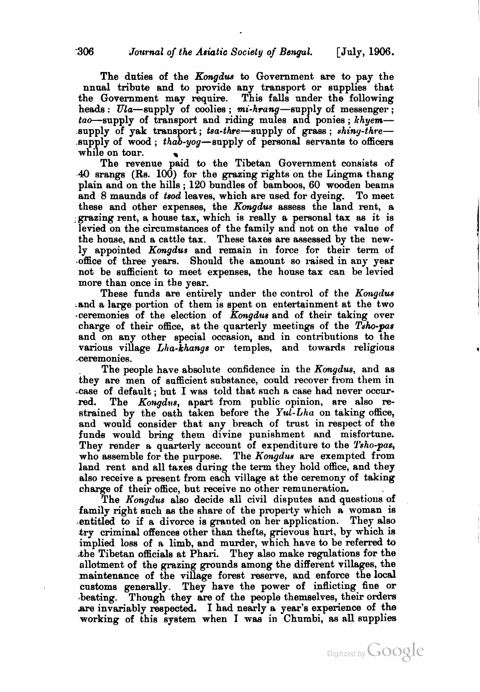The duties of the Kongdua **to** Government are to pay the nnual tribute and to provide any transport or supplies that the Government may require. This falls under the following heads :  $Ula$ -supply of coolies ; mi-hrang-supply of messenger;  $tao$ -supply of transport and riding mules and ponies;  $khyem$ supply of yak transport; tsa-thre-supply of grass; shing-thresupply of wood ; thab-yog-eupply of personal servanta to officers while on tour. **<sup>w</sup>**

The revenue paid to the Tibetan Government consists of 41) sranga (Rs. 100) for the grazing rights on the Lingrna thang plain and on the hills ; 120 bundles of bamboos, 60 wooden beams and 8 maunds of tsod leaves, which are used for dyeing. To meet these and other expenses, the Kongdus assess the land rent, a ,grazing rent, a house tax, which is really a personal tax **as** it is levied on the circumstances of the family and not on the value of the howe, and a cattle tax. These taxes are assessed by the newly appointed Kongdus and remain in force for their term of .office of three years. Should the amount so raised in any year not be sufficient to meet expenses, the house tax can he levied more than once in the year.

These funds are entirely under the control of the Kongdus and a large portion of them is spent on entertainment at the two .ceremonies of the election of Kongdus and of their taking over charge of their office, at the quarterly meetings of the Taho-pas and on any other special occasion, and in contributions to the various village  $Lha$ -khangs or temples, and towards religious ceremonies.

The people have absolute confidence in the *Kongdus*, and as they are men of sufficient substance, could recover from them in .case of default; but I was told that such a case had never occurred. The *Kongdus*, apart from public opinion, are also re-The Kongdus, apart from public opinion, are also restrained by the oath taken before the Yul-Lha on taking office, and would consider that any breach of trust in respect of the funds would bring them divine punishment and misfortune. They render a quarterly account of expenditure to the Tsho-pas, who assemble for the purpose. The *Kongdua* are exempted from land rent and all taxes during the **term** they hold office, and they also receive a present from each village at the ceremony of taking chaxge of their office, but receive no other remuneration.

The Kongdus also decide all civil disputes and questions of family right such **as** the share of the property which a woman is .entitled to if a divorce is granted on her application. They also try criminal offences other than thefts, grievous hurt, by which is implied loss of a limb, and murder, which have to be referred to khe Tibetan officials at Phari. They alao make regulations for the allotment of the grazing grounds among the different villages, the maintenance of the village forest reserve, and enforce the local customs generally. They have the power of inflicting fine or beating. Though they are of the people themselves, their orders **are** invariably respected. I had nearly **e** year's experience of the working of this system when I **waa** in Chumbi, as all supplies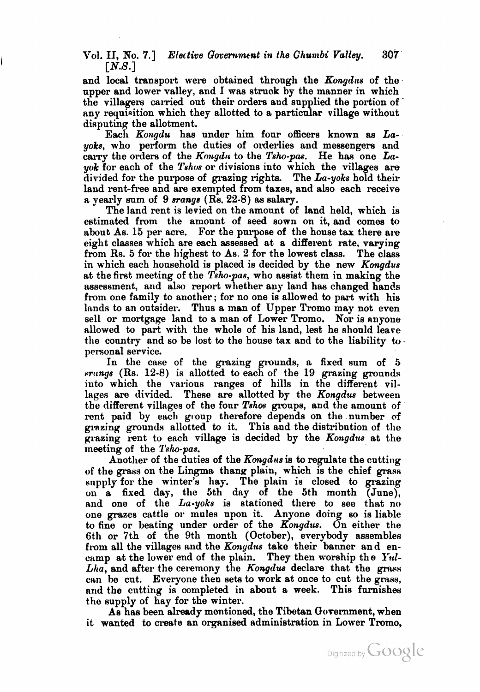Vol. **11,** No. **7.1** Elective Goverrrmcnt in the Ghun~bi **Valley. 307 [N.S.]** 

and local transport were obtained through the  $Kongdus$  of the upper and lower valley, and I was struck by the manner in which the villagers carried out their orders aud supplied the portion of ' any requisition which they allotted to a particular village without disputing the allotment.

Each Kongdu has under him four officers known as Layoks, who perform the duties of orderlies and messengers and carry the orders of the Kongdu to the Tsho-pas. He has one La $y$ ok for each of the Tshos or divisions into which the villages are divided for the purpose of grazing rights. The  $La-yoks$  hold their land rent-free and are exempted from taxes, and also each receive a yearly sum of 9 srange (Rs. 22-8) as salary.

The land rent is levied on the amount of land held, which is estimated from the amount of seed sown on it, and comes to about  $\Delta s$ . 15 per acre. For the purpose of the house tax there are eight classes which are each assessed at a different rate, varying from Rs. 5 for the highest to As. 2 for the lowest class. The class from Rs. 5 for the highest to As. 2 for the lowest class. in which each household is placed is decided by the new Kongdus at the first meeting of the Tsho-pas, who assist them in making the assessment, and also report whether any land has changed hands from one family to another; for no one is allowed to part with his lands to an outsider. Thus a man of Upper Tromo may not even sell or mortgage land to a man of Lower Tromo. Nor is anyone allowed to part with the whole of his land, lest he should leave the country and so be lost to the house tax and to the liability to. personal service.

In the case of the grazing grounds, a fixed sum of 5  $s$ rangs (Rs. 12-8) is allotted to each of the 19 grazing grounds into which the various ranges of hills in the different villages are divided. These are allotted by the Kongdus between the different villages of the four  $Tshos$  groups, and the amount of rent paid by each group therefore depends on the number of grazing grounds allotted to it. This and the distribution of the grazing rent to each village is decided by the Kongdus at the meeting of the Tsho-pas.

Another of the duties of the  $K$ ongdus is to regulate the cutting of the grass on the Lingma thany plain, which is the chief grass supply for the winter's hay. The plain is closed to grazing on a fixed day, the 5th day of the 5th month (June), **and** one of the La-yoke is stationed there to see that no one grazes cattle or mules upon it. Anyone doing so is liable to fine or beating under order of the  $\overline{K}$ ongdus. On either the 6th or 7th of the 9th month (October), everybody assembles from all the villages and the Konydus take their banner and encamp at the lower end of the plain. They then worship the *Yul*- $Lha$ , and after the ceremony the Kongdus declare that the grass can he cut. Everyone then sets to work at once to cut the grass, and the cutting is completed in about a week. This furnishes the supply of hay for the winter.

As has been already mentioned, the Tibetan Government, when it wanted to create an organised administration in Lower Tromo.